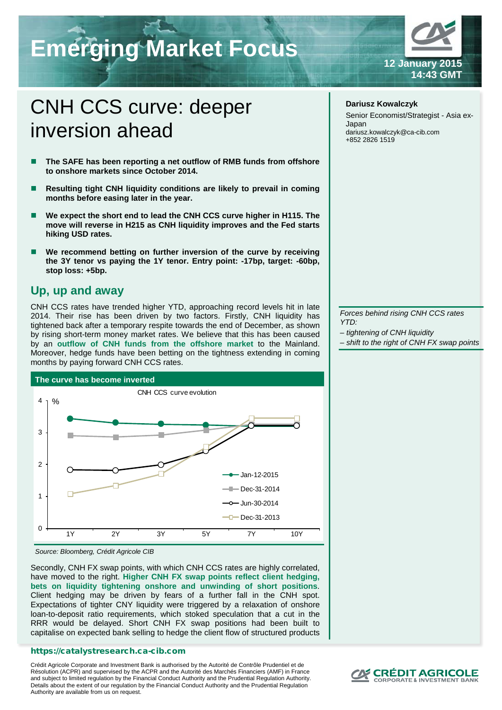# **Emerging Market Focus**

# **12 January 2015 14:43 GMT**

# CNH CCS curve: deeper inversion ahead

- **The SAFE has been reporting a net outflow of RMB funds from offshore to onshore markets since October 2014.**
- **Resulting tight CNH liquidity conditions are likely to prevail in coming months before easing later in the year.**
- **We expect the short end to lead the CNH CCS curve higher in H115. The move will reverse in H215 as CNH liquidity improves and the Fed starts hiking USD rates.**
- **We recommend betting on further inversion of the curve by receiving the 3Y tenor vs paying the 1Y tenor. Entry point: -17bp, target: -60bp, stop loss: +5bp.**

### **Up, up and away**

CNH CCS rates have trended higher YTD, approaching record levels hit in late 2014. Their rise has been driven by two factors. Firstly, CNH liquidity has tightened back after a temporary respite towards the end of December, as shown by rising short-term money market rates. We believe that this has been caused by an **outflow of CNH funds from the offshore market** to the Mainland. Moreover, hedge funds have been betting on the tightness extending in coming months by paying forward CNH CCS rates.





Secondly, CNH FX swap points, with which CNH CCS rates are highly correlated, have moved to the right. **Higher CNH FX swap points reflect client hedging, bets on liquidity tightening onshore and unwinding of short positions**. Client hedging may be driven by fears of a further fall in the CNH spot. Expectations of tighter CNY liquidity were triggered by a relaxation of onshore loan-to-deposit ratio requirements, which stoked speculation that a cut in the RRR would be delayed. Short CNH FX swap positions had been built to capitalise on expected bank selling to hedge the client flow of structured products

### https://catalystresearch.ca-cib.com

Crédit Agricole Corporate and Investment Bank is authorised by the Autorité de Contrôle Prudentiel et de Résolution (ACPR) and supervised by the ACPR and the Autorité des Marchés Financiers (AMF) in France and subject to limited regulation by the Financial Conduct Authority and the Prudential Regulation Authority. Details about the extent of our regulation by the Financial Conduct Authority and the Prudential Regulation Authority are available from us on request.

### **Dariusz Kowalczyk**

Senior Economist/Strategist - Asia ex-Japan dariusz.kowalczyk@ca-cib.com +852 2826 1519

*Forces behind rising CNH CCS rates YTD:*

- *– tightening of CNH liquidity*
- *– shift to the right of CNH FX swap points*

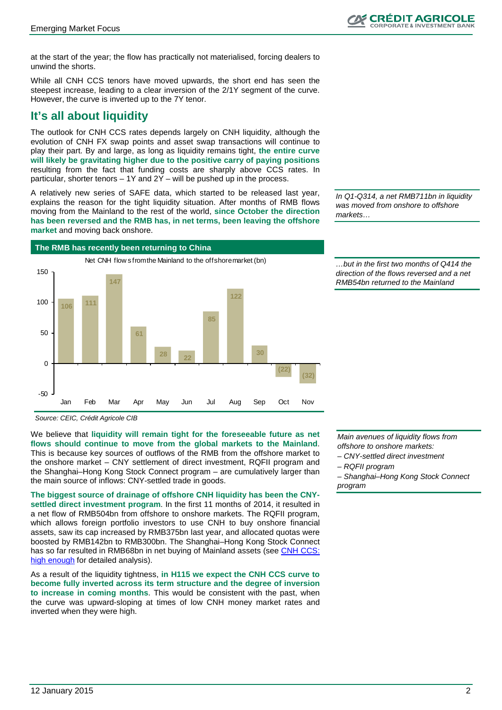at the start of the year; the flow has practically not materialised, forcing dealers to unwind the shorts.

While all CNH CCS tenors have moved upwards, the short end has seen the steepest increase, leading to a clear inversion of the 2/1Y segment of the curve. However, the curve is inverted up to the 7Y tenor.

## **It's all about liquidity**

The outlook for CNH CCS rates depends largely on CNH liquidity, although the evolution of CNH FX swap points and asset swap transactions will continue to play their part. By and large, as long as liquidity remains tight, **the entire curve will likely be gravitating higher due to the positive carry of paying positions**  resulting from the fact that funding costs are sharply above CCS rates. In particular, shorter tenors – 1Y and 2Y – will be pushed up in the process.

A relatively new series of SAFE data, which started to be released last year, explains the reason for the tight liquidity situation. After months of RMB flows moving from the Mainland to the rest of the world, **since October the direction has been reversed and the RMB has, in net terms, been leaving the offshore market** and moving back onshore.

*In Q1-Q314, a net RMB711bn in liquidity was moved from onshore to offshore markets…*



*…but in the first two months of Q414 the direction of the flows reversed and a net RMB54bn returned to the Mainland*

*Source: CEIC, Crédit Agricole CIB*

We believe that **liquidity will remain tight for the foreseeable future as net flows should continue to move from the global markets to the Mainland**. This is because key sources of outflows of the RMB from the offshore market to the onshore market – CNY settlement of direct investment, RQFII program and the Shanghai–Hong Kong Stock Connect program – are cumulatively larger than the main source of inflows: CNY-settled trade in goods.

**The biggest source of drainage of offshore CNH liquidity has been the CNYsettled direct investment program**. In the first 11 months of 2014, it resulted in a net flow of RMB504bn from offshore to onshore markets. The RQFII program, which allows foreign portfolio investors to use CNH to buy onshore financial assets, saw its cap increased by RMB375bn last year, and allocated quotas were boosted by RMB142bn to RMB300bn. The Shanghai–Hong Kong Stock Connect has so far resulted in RMB68bn in net buying of Mainland assets (see [CNH CCS:](http://neocalyon.neolane.net/r/?id=h388f293,42c1fa3,42c1fa5&p1=sophie.cutner@ca-cib.com)  [high enough](http://neocalyon.neolane.net/r/?id=h388f293,42c1fa3,42c1fa5&p1=sophie.cutner@ca-cib.com) for detailed analysis).

As a result of the liquidity tightness, **in H115 we expect the CNH CCS curve to become fully inverted across its term structure and the degree of inversion to increase in coming months**. This would be consistent with the past, when the curve was upward-sloping at times of low CNH money market rates and inverted when they were high.

*Main avenues of liquidity flows from offshore to onshore markets:*

*– CNY-settled direct investment*

*– RQFII program*

*– Shanghai–Hong Kong Stock Connect program*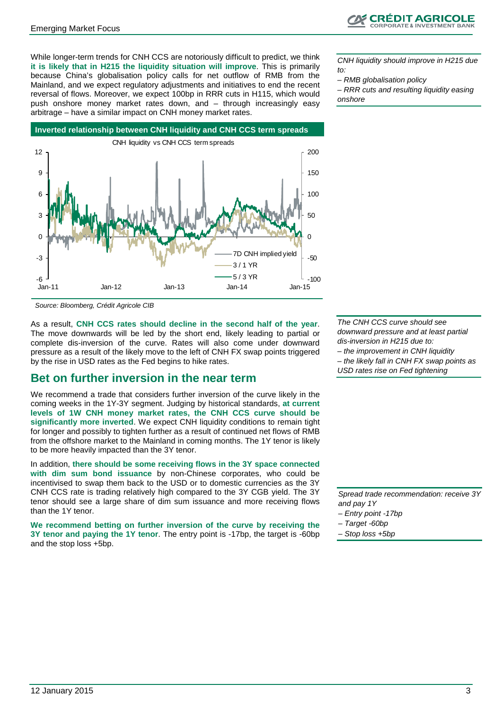

While longer-term trends for CNH CCS are notoriously difficult to predict, we think **it is likely that in H215 the liquidity situation will improve**. This is primarily because China's globalisation policy calls for net outflow of RMB from the Mainland, and we expect regulatory adjustments and initiatives to end the recent reversal of flows. Moreover, we expect 100bp in RRR cuts in H115, which would push onshore money market rates down, and – through increasingly easy arbitrage – have a similar impact on CNH money market rates.

*CNH liquidity should improve in H215 due to:*

*– RMB globalisation policy*

*– RRR cuts and resulting liquidity easing onshore*



*Source: Bloomberg, Crédit Agricole CIB*

As a result, **CNH CCS rates should decline in the second half of the year**. The move downwards will be led by the short end, likely leading to partial or complete dis-inversion of the curve. Rates will also come under downward pressure as a result of the likely move to the left of CNH FX swap points triggered by the rise in USD rates as the Fed begins to hike rates.

### **Bet on further inversion in the near term**

We recommend a trade that considers further inversion of the curve likely in the coming weeks in the 1Y-3Y segment. Judging by historical standards, **at current levels of 1W CNH money market rates, the CNH CCS curve should be significantly more inverted**. We expect CNH liquidity conditions to remain tight for longer and possibly to tighten further as a result of continued net flows of RMB from the offshore market to the Mainland in coming months. The 1Y tenor is likely to be more heavily impacted than the 3Y tenor.

In addition, **there should be some receiving flows in the 3Y space connected with dim sum bond issuance** by non-Chinese corporates, who could be incentivised to swap them back to the USD or to domestic currencies as the 3Y CNH CCS rate is trading relatively high compared to the 3Y CGB yield. The 3Y tenor should see a large share of dim sum issuance and more receiving flows than the 1Y tenor.

**We recommend betting on further inversion of the curve by receiving the 3Y tenor and paying the 1Y tenor**. The entry point is -17bp, the target is -60bp and the stop loss +5bp.

*The CNH CCS curve should see downward pressure and at least partial dis-inversion in H215 due to: – the improvement in CNH liquidity – the likely fall in CNH FX swap points as USD rates rise on Fed tightening*

*Spread trade recommendation: receive 3Y and pay 1Y*

- *– Entry point -17bp*
- *– Target -60bp*
- *– Stop loss +5bp*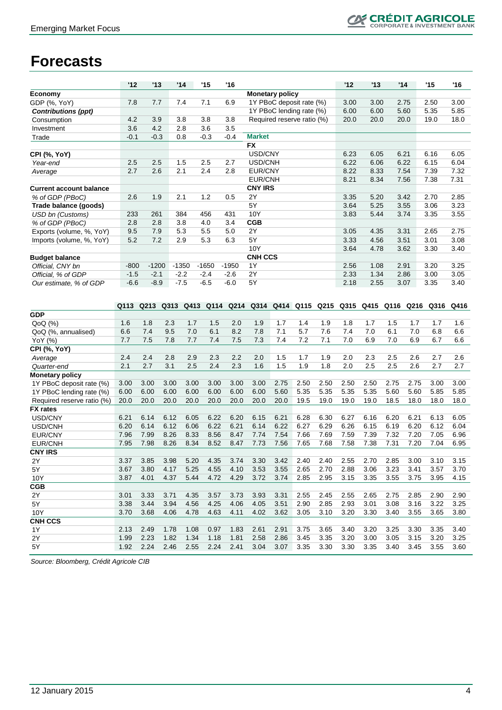## **CRÉDIT AGRICOLE**

## **Forecasts**

| <b>Monetary policy</b><br>Economy<br>7.4<br>6.9<br>1Y PBoC deposit rate (%)<br>GDP (%, YoY)<br>7.8<br>7.7<br>7.1<br>3.00<br>3.00<br>2.75<br>2.50<br>3.00<br>1Y PBoC lending rate (%)<br>5.60<br>6.00<br>6.00<br>5.35<br>5.85<br><b>Contributions (ppt)</b><br>4.2<br>3.8<br>3.8<br>Required reserve ratio (%)<br>18.0<br>3.9<br>3.8<br>20.0<br>20.0<br>20.0<br>19.0<br>Consumption<br>3.6<br>4.2<br>2.8<br>3.6<br>3.5<br>Investment<br>$-0.1$<br>$-0.3$<br>0.8<br>$-0.3$<br>$-0.4$<br><b>Market</b><br>Trade<br><b>FX</b><br>USD/CNY<br>6.23<br>6.05<br>6.21<br>6.16<br>6.05<br><b>CPI (%, YoY)</b><br>2.5<br>2.5<br>1.5<br>2.5<br>USD/CNH<br>6.22<br>6.06<br>6.22<br>6.15<br>6.04<br>2.7<br>Year-end<br>2.7<br>2.6<br>2.1<br>2.4<br>2.8<br><b>EUR/CNY</b><br>8.22<br>8.33<br>7.54<br>7.39<br>7.32<br>Average<br>7.38<br>7.31<br>EUR/CNH<br>8.21<br>8.34<br>7.56<br><b>CNY IRS</b><br><b>Current account balance</b><br>2Y<br>2.6<br>1.9<br>2.1<br>1.2<br>3.42<br>2.70<br>2.85<br>0.5<br>3.35<br>5.20<br>% of GDP (PBoC)<br>5Y<br>3.23<br>5.25<br>3.55<br>3.06<br>Trade balance (goods)<br>3.64<br>384<br>10Y<br>3.35<br>3.55<br><b>USD bn (Customs)</b><br>233<br>261<br>456<br>431<br>3.83<br>5.44<br>3.74<br>2.8<br>2.8<br>3.8<br>4.0<br>3.4<br><b>CGB</b><br>% of GDP (PBoC)<br>9.5<br>7.9<br>5.3<br>5.5<br>5.0<br>2Y<br>2.75<br>Exports (volume, %, YoY)<br>4.35<br>3.31<br>2.65<br>3.05<br>5Y<br>5.2<br>7.2<br>2.9<br>5.3<br>6.3<br>4.56<br>3.51<br>3.01<br>3.08<br>Imports (volume, %, YoY)<br>3.33<br>10Y<br>3.64<br>4.78<br>3.62<br>3.30<br>3.40<br><b>CNH CCS</b><br><b>Budget balance</b><br>2.91<br>3.25<br>$-800$<br>$-1200$<br>$-1350$<br>$-1650$<br>$-1950$<br>1Y<br>2.56<br>1.08<br>3.20<br>Official. CNY bn<br>2Y<br>Official, % of GDP<br>$-1.5$<br>$-2.1$<br>$-2.2$<br>$-2.4$<br>$-2.6$<br>2.33<br>1.34<br>2.86<br>3.00<br>3.05<br>$-7.5$<br>$-6.5$<br>5Y<br>$-6.6$<br>$-8.9$<br>$-6.0$<br>2.18<br>2.55<br>3.07<br>3.35<br>3.40<br>Our estimate, % of GDP<br>Q413 Q114<br>Q214<br>Q314<br>Q414 Q115<br>Q113<br>Q213<br>Q313<br>Q215<br>Q315<br>Q415<br>Q116<br>Q216<br>Q316<br>Q416<br><b>GDP</b><br>QoQ (%)<br>1.8<br>2.3<br>2.0<br>1.4<br>1.9<br>1.8<br>1.7<br>1.6<br>1.7<br>1.5<br>1.9<br>1.7<br>1.7<br>1.5<br>1.7<br>1.6<br>8.2<br>7.1<br>5.7<br>6.6<br>7.4<br>9.5<br>7.0<br>6.1<br>7.8<br>7.6<br>7.4<br>7.0<br>6.1<br>7.0<br>6.8<br>6.6<br>QoQ (%, annualised)<br>7.5<br>7.8<br>7.5<br>7.3<br>7.4<br>7.2<br>7.1<br>7.0<br>6.9<br>7.0<br>6.6<br>YoY (%)<br>7.7<br>7.7<br>7.4<br>6.9<br>6.7<br><b>CPI (%, YoY)</b><br>2.4<br>2.8<br>2.9<br>2.2<br>1.5<br>1.7<br>1.9<br>2.0<br>2.3<br>2.5<br>2.6<br>2.6<br>2.4<br>2.3<br>2.0<br>2.7<br>Average<br>2.7<br>1.5<br>2.0<br>2.5<br>2.1<br>3.1<br>2.5<br>2.4<br>2.3<br>1.6<br>1.9<br>1.8<br>2.5<br>2.6<br>2.7<br>2.7<br>Quarter-end<br><b>Monetary policy</b><br>2.50<br>2.75<br>2.75<br>1Y PBoC deposit rate (%)<br>3.00<br>3.00<br>3.00<br>3.00<br>3.00<br>3.00<br>3.00<br>2.75<br>2.50<br>2.50<br>2.50<br>3.00<br>3.00<br>6.00<br>6.00<br>6.00<br>6.00<br>6.00<br>6.00<br>5.60<br>5.35<br>5.35<br>5.35<br>5.35<br>5.60<br>5.60<br>5.85<br>5.85<br>1Y PBoC lending rate (%)<br>6.00<br>19.0<br>20.0<br>20.0<br>20.0<br>20.0<br>20.0<br>20.0<br>20.0<br>20.0<br>19.5<br>19.0<br>19.0<br>18.5<br>18.0<br>18.0<br>18.0<br>Required reserve ratio (%)<br><b>FX</b> rates<br>6.20<br>6.21<br>USD/CNY<br>6.21<br>6.14<br>6.12<br>6.05<br>6.22<br>6.20<br>6.15<br>6.21<br>6.28<br>6.30<br>6.27<br>6.16<br>6.13<br>6.05<br>6.20<br>6.14<br>6.12<br>6.06<br>6.22<br>6.21<br>6.14<br>6.22<br>6.27<br>6.29<br>6.26<br>6.15<br>6.19<br>6.20<br>6.12<br>6.04<br>USD/CNH<br>8.56<br>8.47<br>7.74<br>7.54<br>7.66<br>7.69<br>7.59<br>7.39<br>7.32<br>7.20<br>7.05<br>6.96<br>EUR/CNY<br>7.96<br>7.99<br>8.26<br>8.33<br>8.34<br>8.52<br>7.56<br>7.65<br>7.68<br>7.58<br>7.38<br>7.31<br>7.20<br>7.04<br>6.95<br>7.95<br>7.98<br>8.26<br>8.47<br>7.73<br><b>EUR/CNH</b><br><b>CNY IRS</b><br>3.37<br>3.85<br>3.98<br>5.20 4.35<br>3.74<br>3.30<br>3.42<br>2.40<br>2.40<br>2.55<br>2.70<br>2.85<br>3.00<br>3.10<br>3.15<br>2Y<br>3.67<br>3.80<br>4.17<br>5.25<br>4.55<br>4.10<br>3.53<br>3.55<br>2.65<br>2.70<br>2.88<br>3.06<br>3.23<br>3.41<br>3.57<br>3.70<br>5Y<br>3.87<br>4.01<br>4.37<br>4.29<br>3.72<br>3.74<br>3.15<br>3.55<br>3.75<br>5.44<br>4.72<br>2.85<br>2.95<br>3.35<br>3.95<br>4.15<br>10Y<br><b>CGB</b><br>$2\overline{Y}$<br>2.55<br>2.55<br>2.90<br>3.01<br>3.33<br>3.71<br>3.57<br>3.73<br>3.93<br>3.31<br>2.45<br>2.65<br>2.75<br>2.85<br>2.90<br>4.35<br>3.38<br>3.44<br>3.94<br>4.25<br>4.06<br>4.05<br>3.51<br>2.90<br>2.85<br>2.93<br>3.01<br>3.08<br>3.16<br>3.22<br>3.25<br>5Y<br>4.56<br>3.68<br>10Y<br>3.70<br>4.06<br>4.78<br>4.63<br>4.11<br>4.02<br>3.62<br>3.05<br>3.10<br>3.20<br>3.30<br>3.40<br>3.55<br>3.65<br>3.80<br>3.75<br>3.40<br>1Y<br>2.13<br>2.49<br>1.78<br>1.08<br>0.97<br>1.83<br>2.61<br>2.91<br>3.65<br>3.40<br>3.20<br>3.25<br>3.30<br>3.35<br>2.23<br>1.82<br>1.34<br>1.18<br>1.81<br>2.58<br>2.86<br>3.45<br>3.35<br>3.20<br>3.00<br>3.05<br>3.15<br>3.20<br>3.25<br>$2\mathsf{Y}$<br>1.99<br>2.24<br>1.92<br>2.46<br>2.55<br>2.24<br>2.41<br>3.04<br>3.07<br>3.35<br>3.30<br>3.30<br>3.35<br>3.45<br>3.55<br>3.60<br>5Y<br>3.40 |                | '12 | '13 | '14 | '15 | '16 |  |  | '12 | '13 | '14 | '15 | '16 |
|---------------------------------------------------------------------------------------------------------------------------------------------------------------------------------------------------------------------------------------------------------------------------------------------------------------------------------------------------------------------------------------------------------------------------------------------------------------------------------------------------------------------------------------------------------------------------------------------------------------------------------------------------------------------------------------------------------------------------------------------------------------------------------------------------------------------------------------------------------------------------------------------------------------------------------------------------------------------------------------------------------------------------------------------------------------------------------------------------------------------------------------------------------------------------------------------------------------------------------------------------------------------------------------------------------------------------------------------------------------------------------------------------------------------------------------------------------------------------------------------------------------------------------------------------------------------------------------------------------------------------------------------------------------------------------------------------------------------------------------------------------------------------------------------------------------------------------------------------------------------------------------------------------------------------------------------------------------------------------------------------------------------------------------------------------------------------------------------------------------------------------------------------------------------------------------------------------------------------------------------------------------------------------------------------------------------------------------------------------------------------------------------------------------------------------------------------------------------------------------------------------------------------------------------------------------------------------------------------------------------------------------------------------------------------------------------------------------------------------------------------------------------------------------------------------------------------------------------------------------------------------------------------------------------------------------------------------------------------------------------------------------------------------------------------------------------------------------------------------------------------------------------------------------------------------------------------------------------------------------------------------------------------------------------------------------------------------------------------------------------------------------------------------------------------------------------------------------------------------------------------------------------------------------------------------------------------------------------------------------------------------------------------------------------------------------------------------------------------------------------------------------------------------------------------------------------------------------------------------------------------------------------------------------------------------------------------------------------------------------------------------------------------------------------------------------------------------------------------------------------------------------------------------------------------------------------------------------------------------------------------------------------------------------------------------------------------------------------------------------------------------------------------------------------------------------------------------------------------------------------------------------------------------------------------------------------------------------------------------------------------------------------------------------------------------------------------------------------------------------------------------------------------------------------------------------------------------------------------------------------------------------------------------------------------------------------------------------------------------------------------------------------------------------------------------------------------------------------------------------------------------------------------------------------------------------------------------------------------------------|----------------|-----|-----|-----|-----|-----|--|--|-----|-----|-----|-----|-----|
|                                                                                                                                                                                                                                                                                                                                                                                                                                                                                                                                                                                                                                                                                                                                                                                                                                                                                                                                                                                                                                                                                                                                                                                                                                                                                                                                                                                                                                                                                                                                                                                                                                                                                                                                                                                                                                                                                                                                                                                                                                                                                                                                                                                                                                                                                                                                                                                                                                                                                                                                                                                                                                                                                                                                                                                                                                                                                                                                                                                                                                                                                                                                                                                                                                                                                                                                                                                                                                                                                                                                                                                                                                                                                                                                                                                                                                                                                                                                                                                                                                                                                                                                                                                                                                                                                                                                                                                                                                                                                                                                                                                                                                                                                                                                                                                                                                                                                                                                                                                                                                                                                                                                                                                                                                       |                |     |     |     |     |     |  |  |     |     |     |     |     |
|                                                                                                                                                                                                                                                                                                                                                                                                                                                                                                                                                                                                                                                                                                                                                                                                                                                                                                                                                                                                                                                                                                                                                                                                                                                                                                                                                                                                                                                                                                                                                                                                                                                                                                                                                                                                                                                                                                                                                                                                                                                                                                                                                                                                                                                                                                                                                                                                                                                                                                                                                                                                                                                                                                                                                                                                                                                                                                                                                                                                                                                                                                                                                                                                                                                                                                                                                                                                                                                                                                                                                                                                                                                                                                                                                                                                                                                                                                                                                                                                                                                                                                                                                                                                                                                                                                                                                                                                                                                                                                                                                                                                                                                                                                                                                                                                                                                                                                                                                                                                                                                                                                                                                                                                                                       |                |     |     |     |     |     |  |  |     |     |     |     |     |
|                                                                                                                                                                                                                                                                                                                                                                                                                                                                                                                                                                                                                                                                                                                                                                                                                                                                                                                                                                                                                                                                                                                                                                                                                                                                                                                                                                                                                                                                                                                                                                                                                                                                                                                                                                                                                                                                                                                                                                                                                                                                                                                                                                                                                                                                                                                                                                                                                                                                                                                                                                                                                                                                                                                                                                                                                                                                                                                                                                                                                                                                                                                                                                                                                                                                                                                                                                                                                                                                                                                                                                                                                                                                                                                                                                                                                                                                                                                                                                                                                                                                                                                                                                                                                                                                                                                                                                                                                                                                                                                                                                                                                                                                                                                                                                                                                                                                                                                                                                                                                                                                                                                                                                                                                                       |                |     |     |     |     |     |  |  |     |     |     |     |     |
|                                                                                                                                                                                                                                                                                                                                                                                                                                                                                                                                                                                                                                                                                                                                                                                                                                                                                                                                                                                                                                                                                                                                                                                                                                                                                                                                                                                                                                                                                                                                                                                                                                                                                                                                                                                                                                                                                                                                                                                                                                                                                                                                                                                                                                                                                                                                                                                                                                                                                                                                                                                                                                                                                                                                                                                                                                                                                                                                                                                                                                                                                                                                                                                                                                                                                                                                                                                                                                                                                                                                                                                                                                                                                                                                                                                                                                                                                                                                                                                                                                                                                                                                                                                                                                                                                                                                                                                                                                                                                                                                                                                                                                                                                                                                                                                                                                                                                                                                                                                                                                                                                                                                                                                                                                       |                |     |     |     |     |     |  |  |     |     |     |     |     |
|                                                                                                                                                                                                                                                                                                                                                                                                                                                                                                                                                                                                                                                                                                                                                                                                                                                                                                                                                                                                                                                                                                                                                                                                                                                                                                                                                                                                                                                                                                                                                                                                                                                                                                                                                                                                                                                                                                                                                                                                                                                                                                                                                                                                                                                                                                                                                                                                                                                                                                                                                                                                                                                                                                                                                                                                                                                                                                                                                                                                                                                                                                                                                                                                                                                                                                                                                                                                                                                                                                                                                                                                                                                                                                                                                                                                                                                                                                                                                                                                                                                                                                                                                                                                                                                                                                                                                                                                                                                                                                                                                                                                                                                                                                                                                                                                                                                                                                                                                                                                                                                                                                                                                                                                                                       |                |     |     |     |     |     |  |  |     |     |     |     |     |
|                                                                                                                                                                                                                                                                                                                                                                                                                                                                                                                                                                                                                                                                                                                                                                                                                                                                                                                                                                                                                                                                                                                                                                                                                                                                                                                                                                                                                                                                                                                                                                                                                                                                                                                                                                                                                                                                                                                                                                                                                                                                                                                                                                                                                                                                                                                                                                                                                                                                                                                                                                                                                                                                                                                                                                                                                                                                                                                                                                                                                                                                                                                                                                                                                                                                                                                                                                                                                                                                                                                                                                                                                                                                                                                                                                                                                                                                                                                                                                                                                                                                                                                                                                                                                                                                                                                                                                                                                                                                                                                                                                                                                                                                                                                                                                                                                                                                                                                                                                                                                                                                                                                                                                                                                                       |                |     |     |     |     |     |  |  |     |     |     |     |     |
|                                                                                                                                                                                                                                                                                                                                                                                                                                                                                                                                                                                                                                                                                                                                                                                                                                                                                                                                                                                                                                                                                                                                                                                                                                                                                                                                                                                                                                                                                                                                                                                                                                                                                                                                                                                                                                                                                                                                                                                                                                                                                                                                                                                                                                                                                                                                                                                                                                                                                                                                                                                                                                                                                                                                                                                                                                                                                                                                                                                                                                                                                                                                                                                                                                                                                                                                                                                                                                                                                                                                                                                                                                                                                                                                                                                                                                                                                                                                                                                                                                                                                                                                                                                                                                                                                                                                                                                                                                                                                                                                                                                                                                                                                                                                                                                                                                                                                                                                                                                                                                                                                                                                                                                                                                       |                |     |     |     |     |     |  |  |     |     |     |     |     |
|                                                                                                                                                                                                                                                                                                                                                                                                                                                                                                                                                                                                                                                                                                                                                                                                                                                                                                                                                                                                                                                                                                                                                                                                                                                                                                                                                                                                                                                                                                                                                                                                                                                                                                                                                                                                                                                                                                                                                                                                                                                                                                                                                                                                                                                                                                                                                                                                                                                                                                                                                                                                                                                                                                                                                                                                                                                                                                                                                                                                                                                                                                                                                                                                                                                                                                                                                                                                                                                                                                                                                                                                                                                                                                                                                                                                                                                                                                                                                                                                                                                                                                                                                                                                                                                                                                                                                                                                                                                                                                                                                                                                                                                                                                                                                                                                                                                                                                                                                                                                                                                                                                                                                                                                                                       |                |     |     |     |     |     |  |  |     |     |     |     |     |
|                                                                                                                                                                                                                                                                                                                                                                                                                                                                                                                                                                                                                                                                                                                                                                                                                                                                                                                                                                                                                                                                                                                                                                                                                                                                                                                                                                                                                                                                                                                                                                                                                                                                                                                                                                                                                                                                                                                                                                                                                                                                                                                                                                                                                                                                                                                                                                                                                                                                                                                                                                                                                                                                                                                                                                                                                                                                                                                                                                                                                                                                                                                                                                                                                                                                                                                                                                                                                                                                                                                                                                                                                                                                                                                                                                                                                                                                                                                                                                                                                                                                                                                                                                                                                                                                                                                                                                                                                                                                                                                                                                                                                                                                                                                                                                                                                                                                                                                                                                                                                                                                                                                                                                                                                                       |                |     |     |     |     |     |  |  |     |     |     |     |     |
|                                                                                                                                                                                                                                                                                                                                                                                                                                                                                                                                                                                                                                                                                                                                                                                                                                                                                                                                                                                                                                                                                                                                                                                                                                                                                                                                                                                                                                                                                                                                                                                                                                                                                                                                                                                                                                                                                                                                                                                                                                                                                                                                                                                                                                                                                                                                                                                                                                                                                                                                                                                                                                                                                                                                                                                                                                                                                                                                                                                                                                                                                                                                                                                                                                                                                                                                                                                                                                                                                                                                                                                                                                                                                                                                                                                                                                                                                                                                                                                                                                                                                                                                                                                                                                                                                                                                                                                                                                                                                                                                                                                                                                                                                                                                                                                                                                                                                                                                                                                                                                                                                                                                                                                                                                       |                |     |     |     |     |     |  |  |     |     |     |     |     |
|                                                                                                                                                                                                                                                                                                                                                                                                                                                                                                                                                                                                                                                                                                                                                                                                                                                                                                                                                                                                                                                                                                                                                                                                                                                                                                                                                                                                                                                                                                                                                                                                                                                                                                                                                                                                                                                                                                                                                                                                                                                                                                                                                                                                                                                                                                                                                                                                                                                                                                                                                                                                                                                                                                                                                                                                                                                                                                                                                                                                                                                                                                                                                                                                                                                                                                                                                                                                                                                                                                                                                                                                                                                                                                                                                                                                                                                                                                                                                                                                                                                                                                                                                                                                                                                                                                                                                                                                                                                                                                                                                                                                                                                                                                                                                                                                                                                                                                                                                                                                                                                                                                                                                                                                                                       |                |     |     |     |     |     |  |  |     |     |     |     |     |
|                                                                                                                                                                                                                                                                                                                                                                                                                                                                                                                                                                                                                                                                                                                                                                                                                                                                                                                                                                                                                                                                                                                                                                                                                                                                                                                                                                                                                                                                                                                                                                                                                                                                                                                                                                                                                                                                                                                                                                                                                                                                                                                                                                                                                                                                                                                                                                                                                                                                                                                                                                                                                                                                                                                                                                                                                                                                                                                                                                                                                                                                                                                                                                                                                                                                                                                                                                                                                                                                                                                                                                                                                                                                                                                                                                                                                                                                                                                                                                                                                                                                                                                                                                                                                                                                                                                                                                                                                                                                                                                                                                                                                                                                                                                                                                                                                                                                                                                                                                                                                                                                                                                                                                                                                                       |                |     |     |     |     |     |  |  |     |     |     |     |     |
|                                                                                                                                                                                                                                                                                                                                                                                                                                                                                                                                                                                                                                                                                                                                                                                                                                                                                                                                                                                                                                                                                                                                                                                                                                                                                                                                                                                                                                                                                                                                                                                                                                                                                                                                                                                                                                                                                                                                                                                                                                                                                                                                                                                                                                                                                                                                                                                                                                                                                                                                                                                                                                                                                                                                                                                                                                                                                                                                                                                                                                                                                                                                                                                                                                                                                                                                                                                                                                                                                                                                                                                                                                                                                                                                                                                                                                                                                                                                                                                                                                                                                                                                                                                                                                                                                                                                                                                                                                                                                                                                                                                                                                                                                                                                                                                                                                                                                                                                                                                                                                                                                                                                                                                                                                       |                |     |     |     |     |     |  |  |     |     |     |     |     |
|                                                                                                                                                                                                                                                                                                                                                                                                                                                                                                                                                                                                                                                                                                                                                                                                                                                                                                                                                                                                                                                                                                                                                                                                                                                                                                                                                                                                                                                                                                                                                                                                                                                                                                                                                                                                                                                                                                                                                                                                                                                                                                                                                                                                                                                                                                                                                                                                                                                                                                                                                                                                                                                                                                                                                                                                                                                                                                                                                                                                                                                                                                                                                                                                                                                                                                                                                                                                                                                                                                                                                                                                                                                                                                                                                                                                                                                                                                                                                                                                                                                                                                                                                                                                                                                                                                                                                                                                                                                                                                                                                                                                                                                                                                                                                                                                                                                                                                                                                                                                                                                                                                                                                                                                                                       |                |     |     |     |     |     |  |  |     |     |     |     |     |
|                                                                                                                                                                                                                                                                                                                                                                                                                                                                                                                                                                                                                                                                                                                                                                                                                                                                                                                                                                                                                                                                                                                                                                                                                                                                                                                                                                                                                                                                                                                                                                                                                                                                                                                                                                                                                                                                                                                                                                                                                                                                                                                                                                                                                                                                                                                                                                                                                                                                                                                                                                                                                                                                                                                                                                                                                                                                                                                                                                                                                                                                                                                                                                                                                                                                                                                                                                                                                                                                                                                                                                                                                                                                                                                                                                                                                                                                                                                                                                                                                                                                                                                                                                                                                                                                                                                                                                                                                                                                                                                                                                                                                                                                                                                                                                                                                                                                                                                                                                                                                                                                                                                                                                                                                                       |                |     |     |     |     |     |  |  |     |     |     |     |     |
|                                                                                                                                                                                                                                                                                                                                                                                                                                                                                                                                                                                                                                                                                                                                                                                                                                                                                                                                                                                                                                                                                                                                                                                                                                                                                                                                                                                                                                                                                                                                                                                                                                                                                                                                                                                                                                                                                                                                                                                                                                                                                                                                                                                                                                                                                                                                                                                                                                                                                                                                                                                                                                                                                                                                                                                                                                                                                                                                                                                                                                                                                                                                                                                                                                                                                                                                                                                                                                                                                                                                                                                                                                                                                                                                                                                                                                                                                                                                                                                                                                                                                                                                                                                                                                                                                                                                                                                                                                                                                                                                                                                                                                                                                                                                                                                                                                                                                                                                                                                                                                                                                                                                                                                                                                       |                |     |     |     |     |     |  |  |     |     |     |     |     |
|                                                                                                                                                                                                                                                                                                                                                                                                                                                                                                                                                                                                                                                                                                                                                                                                                                                                                                                                                                                                                                                                                                                                                                                                                                                                                                                                                                                                                                                                                                                                                                                                                                                                                                                                                                                                                                                                                                                                                                                                                                                                                                                                                                                                                                                                                                                                                                                                                                                                                                                                                                                                                                                                                                                                                                                                                                                                                                                                                                                                                                                                                                                                                                                                                                                                                                                                                                                                                                                                                                                                                                                                                                                                                                                                                                                                                                                                                                                                                                                                                                                                                                                                                                                                                                                                                                                                                                                                                                                                                                                                                                                                                                                                                                                                                                                                                                                                                                                                                                                                                                                                                                                                                                                                                                       |                |     |     |     |     |     |  |  |     |     |     |     |     |
|                                                                                                                                                                                                                                                                                                                                                                                                                                                                                                                                                                                                                                                                                                                                                                                                                                                                                                                                                                                                                                                                                                                                                                                                                                                                                                                                                                                                                                                                                                                                                                                                                                                                                                                                                                                                                                                                                                                                                                                                                                                                                                                                                                                                                                                                                                                                                                                                                                                                                                                                                                                                                                                                                                                                                                                                                                                                                                                                                                                                                                                                                                                                                                                                                                                                                                                                                                                                                                                                                                                                                                                                                                                                                                                                                                                                                                                                                                                                                                                                                                                                                                                                                                                                                                                                                                                                                                                                                                                                                                                                                                                                                                                                                                                                                                                                                                                                                                                                                                                                                                                                                                                                                                                                                                       |                |     |     |     |     |     |  |  |     |     |     |     |     |
|                                                                                                                                                                                                                                                                                                                                                                                                                                                                                                                                                                                                                                                                                                                                                                                                                                                                                                                                                                                                                                                                                                                                                                                                                                                                                                                                                                                                                                                                                                                                                                                                                                                                                                                                                                                                                                                                                                                                                                                                                                                                                                                                                                                                                                                                                                                                                                                                                                                                                                                                                                                                                                                                                                                                                                                                                                                                                                                                                                                                                                                                                                                                                                                                                                                                                                                                                                                                                                                                                                                                                                                                                                                                                                                                                                                                                                                                                                                                                                                                                                                                                                                                                                                                                                                                                                                                                                                                                                                                                                                                                                                                                                                                                                                                                                                                                                                                                                                                                                                                                                                                                                                                                                                                                                       |                |     |     |     |     |     |  |  |     |     |     |     |     |
|                                                                                                                                                                                                                                                                                                                                                                                                                                                                                                                                                                                                                                                                                                                                                                                                                                                                                                                                                                                                                                                                                                                                                                                                                                                                                                                                                                                                                                                                                                                                                                                                                                                                                                                                                                                                                                                                                                                                                                                                                                                                                                                                                                                                                                                                                                                                                                                                                                                                                                                                                                                                                                                                                                                                                                                                                                                                                                                                                                                                                                                                                                                                                                                                                                                                                                                                                                                                                                                                                                                                                                                                                                                                                                                                                                                                                                                                                                                                                                                                                                                                                                                                                                                                                                                                                                                                                                                                                                                                                                                                                                                                                                                                                                                                                                                                                                                                                                                                                                                                                                                                                                                                                                                                                                       |                |     |     |     |     |     |  |  |     |     |     |     |     |
|                                                                                                                                                                                                                                                                                                                                                                                                                                                                                                                                                                                                                                                                                                                                                                                                                                                                                                                                                                                                                                                                                                                                                                                                                                                                                                                                                                                                                                                                                                                                                                                                                                                                                                                                                                                                                                                                                                                                                                                                                                                                                                                                                                                                                                                                                                                                                                                                                                                                                                                                                                                                                                                                                                                                                                                                                                                                                                                                                                                                                                                                                                                                                                                                                                                                                                                                                                                                                                                                                                                                                                                                                                                                                                                                                                                                                                                                                                                                                                                                                                                                                                                                                                                                                                                                                                                                                                                                                                                                                                                                                                                                                                                                                                                                                                                                                                                                                                                                                                                                                                                                                                                                                                                                                                       |                |     |     |     |     |     |  |  |     |     |     |     |     |
|                                                                                                                                                                                                                                                                                                                                                                                                                                                                                                                                                                                                                                                                                                                                                                                                                                                                                                                                                                                                                                                                                                                                                                                                                                                                                                                                                                                                                                                                                                                                                                                                                                                                                                                                                                                                                                                                                                                                                                                                                                                                                                                                                                                                                                                                                                                                                                                                                                                                                                                                                                                                                                                                                                                                                                                                                                                                                                                                                                                                                                                                                                                                                                                                                                                                                                                                                                                                                                                                                                                                                                                                                                                                                                                                                                                                                                                                                                                                                                                                                                                                                                                                                                                                                                                                                                                                                                                                                                                                                                                                                                                                                                                                                                                                                                                                                                                                                                                                                                                                                                                                                                                                                                                                                                       |                |     |     |     |     |     |  |  |     |     |     |     |     |
|                                                                                                                                                                                                                                                                                                                                                                                                                                                                                                                                                                                                                                                                                                                                                                                                                                                                                                                                                                                                                                                                                                                                                                                                                                                                                                                                                                                                                                                                                                                                                                                                                                                                                                                                                                                                                                                                                                                                                                                                                                                                                                                                                                                                                                                                                                                                                                                                                                                                                                                                                                                                                                                                                                                                                                                                                                                                                                                                                                                                                                                                                                                                                                                                                                                                                                                                                                                                                                                                                                                                                                                                                                                                                                                                                                                                                                                                                                                                                                                                                                                                                                                                                                                                                                                                                                                                                                                                                                                                                                                                                                                                                                                                                                                                                                                                                                                                                                                                                                                                                                                                                                                                                                                                                                       |                |     |     |     |     |     |  |  |     |     |     |     |     |
|                                                                                                                                                                                                                                                                                                                                                                                                                                                                                                                                                                                                                                                                                                                                                                                                                                                                                                                                                                                                                                                                                                                                                                                                                                                                                                                                                                                                                                                                                                                                                                                                                                                                                                                                                                                                                                                                                                                                                                                                                                                                                                                                                                                                                                                                                                                                                                                                                                                                                                                                                                                                                                                                                                                                                                                                                                                                                                                                                                                                                                                                                                                                                                                                                                                                                                                                                                                                                                                                                                                                                                                                                                                                                                                                                                                                                                                                                                                                                                                                                                                                                                                                                                                                                                                                                                                                                                                                                                                                                                                                                                                                                                                                                                                                                                                                                                                                                                                                                                                                                                                                                                                                                                                                                                       |                |     |     |     |     |     |  |  |     |     |     |     |     |
|                                                                                                                                                                                                                                                                                                                                                                                                                                                                                                                                                                                                                                                                                                                                                                                                                                                                                                                                                                                                                                                                                                                                                                                                                                                                                                                                                                                                                                                                                                                                                                                                                                                                                                                                                                                                                                                                                                                                                                                                                                                                                                                                                                                                                                                                                                                                                                                                                                                                                                                                                                                                                                                                                                                                                                                                                                                                                                                                                                                                                                                                                                                                                                                                                                                                                                                                                                                                                                                                                                                                                                                                                                                                                                                                                                                                                                                                                                                                                                                                                                                                                                                                                                                                                                                                                                                                                                                                                                                                                                                                                                                                                                                                                                                                                                                                                                                                                                                                                                                                                                                                                                                                                                                                                                       |                |     |     |     |     |     |  |  |     |     |     |     |     |
|                                                                                                                                                                                                                                                                                                                                                                                                                                                                                                                                                                                                                                                                                                                                                                                                                                                                                                                                                                                                                                                                                                                                                                                                                                                                                                                                                                                                                                                                                                                                                                                                                                                                                                                                                                                                                                                                                                                                                                                                                                                                                                                                                                                                                                                                                                                                                                                                                                                                                                                                                                                                                                                                                                                                                                                                                                                                                                                                                                                                                                                                                                                                                                                                                                                                                                                                                                                                                                                                                                                                                                                                                                                                                                                                                                                                                                                                                                                                                                                                                                                                                                                                                                                                                                                                                                                                                                                                                                                                                                                                                                                                                                                                                                                                                                                                                                                                                                                                                                                                                                                                                                                                                                                                                                       |                |     |     |     |     |     |  |  |     |     |     |     |     |
|                                                                                                                                                                                                                                                                                                                                                                                                                                                                                                                                                                                                                                                                                                                                                                                                                                                                                                                                                                                                                                                                                                                                                                                                                                                                                                                                                                                                                                                                                                                                                                                                                                                                                                                                                                                                                                                                                                                                                                                                                                                                                                                                                                                                                                                                                                                                                                                                                                                                                                                                                                                                                                                                                                                                                                                                                                                                                                                                                                                                                                                                                                                                                                                                                                                                                                                                                                                                                                                                                                                                                                                                                                                                                                                                                                                                                                                                                                                                                                                                                                                                                                                                                                                                                                                                                                                                                                                                                                                                                                                                                                                                                                                                                                                                                                                                                                                                                                                                                                                                                                                                                                                                                                                                                                       |                |     |     |     |     |     |  |  |     |     |     |     |     |
|                                                                                                                                                                                                                                                                                                                                                                                                                                                                                                                                                                                                                                                                                                                                                                                                                                                                                                                                                                                                                                                                                                                                                                                                                                                                                                                                                                                                                                                                                                                                                                                                                                                                                                                                                                                                                                                                                                                                                                                                                                                                                                                                                                                                                                                                                                                                                                                                                                                                                                                                                                                                                                                                                                                                                                                                                                                                                                                                                                                                                                                                                                                                                                                                                                                                                                                                                                                                                                                                                                                                                                                                                                                                                                                                                                                                                                                                                                                                                                                                                                                                                                                                                                                                                                                                                                                                                                                                                                                                                                                                                                                                                                                                                                                                                                                                                                                                                                                                                                                                                                                                                                                                                                                                                                       |                |     |     |     |     |     |  |  |     |     |     |     |     |
|                                                                                                                                                                                                                                                                                                                                                                                                                                                                                                                                                                                                                                                                                                                                                                                                                                                                                                                                                                                                                                                                                                                                                                                                                                                                                                                                                                                                                                                                                                                                                                                                                                                                                                                                                                                                                                                                                                                                                                                                                                                                                                                                                                                                                                                                                                                                                                                                                                                                                                                                                                                                                                                                                                                                                                                                                                                                                                                                                                                                                                                                                                                                                                                                                                                                                                                                                                                                                                                                                                                                                                                                                                                                                                                                                                                                                                                                                                                                                                                                                                                                                                                                                                                                                                                                                                                                                                                                                                                                                                                                                                                                                                                                                                                                                                                                                                                                                                                                                                                                                                                                                                                                                                                                                                       |                |     |     |     |     |     |  |  |     |     |     |     |     |
|                                                                                                                                                                                                                                                                                                                                                                                                                                                                                                                                                                                                                                                                                                                                                                                                                                                                                                                                                                                                                                                                                                                                                                                                                                                                                                                                                                                                                                                                                                                                                                                                                                                                                                                                                                                                                                                                                                                                                                                                                                                                                                                                                                                                                                                                                                                                                                                                                                                                                                                                                                                                                                                                                                                                                                                                                                                                                                                                                                                                                                                                                                                                                                                                                                                                                                                                                                                                                                                                                                                                                                                                                                                                                                                                                                                                                                                                                                                                                                                                                                                                                                                                                                                                                                                                                                                                                                                                                                                                                                                                                                                                                                                                                                                                                                                                                                                                                                                                                                                                                                                                                                                                                                                                                                       |                |     |     |     |     |     |  |  |     |     |     |     |     |
|                                                                                                                                                                                                                                                                                                                                                                                                                                                                                                                                                                                                                                                                                                                                                                                                                                                                                                                                                                                                                                                                                                                                                                                                                                                                                                                                                                                                                                                                                                                                                                                                                                                                                                                                                                                                                                                                                                                                                                                                                                                                                                                                                                                                                                                                                                                                                                                                                                                                                                                                                                                                                                                                                                                                                                                                                                                                                                                                                                                                                                                                                                                                                                                                                                                                                                                                                                                                                                                                                                                                                                                                                                                                                                                                                                                                                                                                                                                                                                                                                                                                                                                                                                                                                                                                                                                                                                                                                                                                                                                                                                                                                                                                                                                                                                                                                                                                                                                                                                                                                                                                                                                                                                                                                                       |                |     |     |     |     |     |  |  |     |     |     |     |     |
|                                                                                                                                                                                                                                                                                                                                                                                                                                                                                                                                                                                                                                                                                                                                                                                                                                                                                                                                                                                                                                                                                                                                                                                                                                                                                                                                                                                                                                                                                                                                                                                                                                                                                                                                                                                                                                                                                                                                                                                                                                                                                                                                                                                                                                                                                                                                                                                                                                                                                                                                                                                                                                                                                                                                                                                                                                                                                                                                                                                                                                                                                                                                                                                                                                                                                                                                                                                                                                                                                                                                                                                                                                                                                                                                                                                                                                                                                                                                                                                                                                                                                                                                                                                                                                                                                                                                                                                                                                                                                                                                                                                                                                                                                                                                                                                                                                                                                                                                                                                                                                                                                                                                                                                                                                       |                |     |     |     |     |     |  |  |     |     |     |     |     |
|                                                                                                                                                                                                                                                                                                                                                                                                                                                                                                                                                                                                                                                                                                                                                                                                                                                                                                                                                                                                                                                                                                                                                                                                                                                                                                                                                                                                                                                                                                                                                                                                                                                                                                                                                                                                                                                                                                                                                                                                                                                                                                                                                                                                                                                                                                                                                                                                                                                                                                                                                                                                                                                                                                                                                                                                                                                                                                                                                                                                                                                                                                                                                                                                                                                                                                                                                                                                                                                                                                                                                                                                                                                                                                                                                                                                                                                                                                                                                                                                                                                                                                                                                                                                                                                                                                                                                                                                                                                                                                                                                                                                                                                                                                                                                                                                                                                                                                                                                                                                                                                                                                                                                                                                                                       |                |     |     |     |     |     |  |  |     |     |     |     |     |
|                                                                                                                                                                                                                                                                                                                                                                                                                                                                                                                                                                                                                                                                                                                                                                                                                                                                                                                                                                                                                                                                                                                                                                                                                                                                                                                                                                                                                                                                                                                                                                                                                                                                                                                                                                                                                                                                                                                                                                                                                                                                                                                                                                                                                                                                                                                                                                                                                                                                                                                                                                                                                                                                                                                                                                                                                                                                                                                                                                                                                                                                                                                                                                                                                                                                                                                                                                                                                                                                                                                                                                                                                                                                                                                                                                                                                                                                                                                                                                                                                                                                                                                                                                                                                                                                                                                                                                                                                                                                                                                                                                                                                                                                                                                                                                                                                                                                                                                                                                                                                                                                                                                                                                                                                                       |                |     |     |     |     |     |  |  |     |     |     |     |     |
|                                                                                                                                                                                                                                                                                                                                                                                                                                                                                                                                                                                                                                                                                                                                                                                                                                                                                                                                                                                                                                                                                                                                                                                                                                                                                                                                                                                                                                                                                                                                                                                                                                                                                                                                                                                                                                                                                                                                                                                                                                                                                                                                                                                                                                                                                                                                                                                                                                                                                                                                                                                                                                                                                                                                                                                                                                                                                                                                                                                                                                                                                                                                                                                                                                                                                                                                                                                                                                                                                                                                                                                                                                                                                                                                                                                                                                                                                                                                                                                                                                                                                                                                                                                                                                                                                                                                                                                                                                                                                                                                                                                                                                                                                                                                                                                                                                                                                                                                                                                                                                                                                                                                                                                                                                       |                |     |     |     |     |     |  |  |     |     |     |     |     |
|                                                                                                                                                                                                                                                                                                                                                                                                                                                                                                                                                                                                                                                                                                                                                                                                                                                                                                                                                                                                                                                                                                                                                                                                                                                                                                                                                                                                                                                                                                                                                                                                                                                                                                                                                                                                                                                                                                                                                                                                                                                                                                                                                                                                                                                                                                                                                                                                                                                                                                                                                                                                                                                                                                                                                                                                                                                                                                                                                                                                                                                                                                                                                                                                                                                                                                                                                                                                                                                                                                                                                                                                                                                                                                                                                                                                                                                                                                                                                                                                                                                                                                                                                                                                                                                                                                                                                                                                                                                                                                                                                                                                                                                                                                                                                                                                                                                                                                                                                                                                                                                                                                                                                                                                                                       |                |     |     |     |     |     |  |  |     |     |     |     |     |
|                                                                                                                                                                                                                                                                                                                                                                                                                                                                                                                                                                                                                                                                                                                                                                                                                                                                                                                                                                                                                                                                                                                                                                                                                                                                                                                                                                                                                                                                                                                                                                                                                                                                                                                                                                                                                                                                                                                                                                                                                                                                                                                                                                                                                                                                                                                                                                                                                                                                                                                                                                                                                                                                                                                                                                                                                                                                                                                                                                                                                                                                                                                                                                                                                                                                                                                                                                                                                                                                                                                                                                                                                                                                                                                                                                                                                                                                                                                                                                                                                                                                                                                                                                                                                                                                                                                                                                                                                                                                                                                                                                                                                                                                                                                                                                                                                                                                                                                                                                                                                                                                                                                                                                                                                                       |                |     |     |     |     |     |  |  |     |     |     |     |     |
|                                                                                                                                                                                                                                                                                                                                                                                                                                                                                                                                                                                                                                                                                                                                                                                                                                                                                                                                                                                                                                                                                                                                                                                                                                                                                                                                                                                                                                                                                                                                                                                                                                                                                                                                                                                                                                                                                                                                                                                                                                                                                                                                                                                                                                                                                                                                                                                                                                                                                                                                                                                                                                                                                                                                                                                                                                                                                                                                                                                                                                                                                                                                                                                                                                                                                                                                                                                                                                                                                                                                                                                                                                                                                                                                                                                                                                                                                                                                                                                                                                                                                                                                                                                                                                                                                                                                                                                                                                                                                                                                                                                                                                                                                                                                                                                                                                                                                                                                                                                                                                                                                                                                                                                                                                       |                |     |     |     |     |     |  |  |     |     |     |     |     |
|                                                                                                                                                                                                                                                                                                                                                                                                                                                                                                                                                                                                                                                                                                                                                                                                                                                                                                                                                                                                                                                                                                                                                                                                                                                                                                                                                                                                                                                                                                                                                                                                                                                                                                                                                                                                                                                                                                                                                                                                                                                                                                                                                                                                                                                                                                                                                                                                                                                                                                                                                                                                                                                                                                                                                                                                                                                                                                                                                                                                                                                                                                                                                                                                                                                                                                                                                                                                                                                                                                                                                                                                                                                                                                                                                                                                                                                                                                                                                                                                                                                                                                                                                                                                                                                                                                                                                                                                                                                                                                                                                                                                                                                                                                                                                                                                                                                                                                                                                                                                                                                                                                                                                                                                                                       |                |     |     |     |     |     |  |  |     |     |     |     |     |
|                                                                                                                                                                                                                                                                                                                                                                                                                                                                                                                                                                                                                                                                                                                                                                                                                                                                                                                                                                                                                                                                                                                                                                                                                                                                                                                                                                                                                                                                                                                                                                                                                                                                                                                                                                                                                                                                                                                                                                                                                                                                                                                                                                                                                                                                                                                                                                                                                                                                                                                                                                                                                                                                                                                                                                                                                                                                                                                                                                                                                                                                                                                                                                                                                                                                                                                                                                                                                                                                                                                                                                                                                                                                                                                                                                                                                                                                                                                                                                                                                                                                                                                                                                                                                                                                                                                                                                                                                                                                                                                                                                                                                                                                                                                                                                                                                                                                                                                                                                                                                                                                                                                                                                                                                                       |                |     |     |     |     |     |  |  |     |     |     |     |     |
|                                                                                                                                                                                                                                                                                                                                                                                                                                                                                                                                                                                                                                                                                                                                                                                                                                                                                                                                                                                                                                                                                                                                                                                                                                                                                                                                                                                                                                                                                                                                                                                                                                                                                                                                                                                                                                                                                                                                                                                                                                                                                                                                                                                                                                                                                                                                                                                                                                                                                                                                                                                                                                                                                                                                                                                                                                                                                                                                                                                                                                                                                                                                                                                                                                                                                                                                                                                                                                                                                                                                                                                                                                                                                                                                                                                                                                                                                                                                                                                                                                                                                                                                                                                                                                                                                                                                                                                                                                                                                                                                                                                                                                                                                                                                                                                                                                                                                                                                                                                                                                                                                                                                                                                                                                       |                |     |     |     |     |     |  |  |     |     |     |     |     |
|                                                                                                                                                                                                                                                                                                                                                                                                                                                                                                                                                                                                                                                                                                                                                                                                                                                                                                                                                                                                                                                                                                                                                                                                                                                                                                                                                                                                                                                                                                                                                                                                                                                                                                                                                                                                                                                                                                                                                                                                                                                                                                                                                                                                                                                                                                                                                                                                                                                                                                                                                                                                                                                                                                                                                                                                                                                                                                                                                                                                                                                                                                                                                                                                                                                                                                                                                                                                                                                                                                                                                                                                                                                                                                                                                                                                                                                                                                                                                                                                                                                                                                                                                                                                                                                                                                                                                                                                                                                                                                                                                                                                                                                                                                                                                                                                                                                                                                                                                                                                                                                                                                                                                                                                                                       |                |     |     |     |     |     |  |  |     |     |     |     |     |
|                                                                                                                                                                                                                                                                                                                                                                                                                                                                                                                                                                                                                                                                                                                                                                                                                                                                                                                                                                                                                                                                                                                                                                                                                                                                                                                                                                                                                                                                                                                                                                                                                                                                                                                                                                                                                                                                                                                                                                                                                                                                                                                                                                                                                                                                                                                                                                                                                                                                                                                                                                                                                                                                                                                                                                                                                                                                                                                                                                                                                                                                                                                                                                                                                                                                                                                                                                                                                                                                                                                                                                                                                                                                                                                                                                                                                                                                                                                                                                                                                                                                                                                                                                                                                                                                                                                                                                                                                                                                                                                                                                                                                                                                                                                                                                                                                                                                                                                                                                                                                                                                                                                                                                                                                                       |                |     |     |     |     |     |  |  |     |     |     |     |     |
|                                                                                                                                                                                                                                                                                                                                                                                                                                                                                                                                                                                                                                                                                                                                                                                                                                                                                                                                                                                                                                                                                                                                                                                                                                                                                                                                                                                                                                                                                                                                                                                                                                                                                                                                                                                                                                                                                                                                                                                                                                                                                                                                                                                                                                                                                                                                                                                                                                                                                                                                                                                                                                                                                                                                                                                                                                                                                                                                                                                                                                                                                                                                                                                                                                                                                                                                                                                                                                                                                                                                                                                                                                                                                                                                                                                                                                                                                                                                                                                                                                                                                                                                                                                                                                                                                                                                                                                                                                                                                                                                                                                                                                                                                                                                                                                                                                                                                                                                                                                                                                                                                                                                                                                                                                       |                |     |     |     |     |     |  |  |     |     |     |     |     |
|                                                                                                                                                                                                                                                                                                                                                                                                                                                                                                                                                                                                                                                                                                                                                                                                                                                                                                                                                                                                                                                                                                                                                                                                                                                                                                                                                                                                                                                                                                                                                                                                                                                                                                                                                                                                                                                                                                                                                                                                                                                                                                                                                                                                                                                                                                                                                                                                                                                                                                                                                                                                                                                                                                                                                                                                                                                                                                                                                                                                                                                                                                                                                                                                                                                                                                                                                                                                                                                                                                                                                                                                                                                                                                                                                                                                                                                                                                                                                                                                                                                                                                                                                                                                                                                                                                                                                                                                                                                                                                                                                                                                                                                                                                                                                                                                                                                                                                                                                                                                                                                                                                                                                                                                                                       |                |     |     |     |     |     |  |  |     |     |     |     |     |
|                                                                                                                                                                                                                                                                                                                                                                                                                                                                                                                                                                                                                                                                                                                                                                                                                                                                                                                                                                                                                                                                                                                                                                                                                                                                                                                                                                                                                                                                                                                                                                                                                                                                                                                                                                                                                                                                                                                                                                                                                                                                                                                                                                                                                                                                                                                                                                                                                                                                                                                                                                                                                                                                                                                                                                                                                                                                                                                                                                                                                                                                                                                                                                                                                                                                                                                                                                                                                                                                                                                                                                                                                                                                                                                                                                                                                                                                                                                                                                                                                                                                                                                                                                                                                                                                                                                                                                                                                                                                                                                                                                                                                                                                                                                                                                                                                                                                                                                                                                                                                                                                                                                                                                                                                                       |                |     |     |     |     |     |  |  |     |     |     |     |     |
|                                                                                                                                                                                                                                                                                                                                                                                                                                                                                                                                                                                                                                                                                                                                                                                                                                                                                                                                                                                                                                                                                                                                                                                                                                                                                                                                                                                                                                                                                                                                                                                                                                                                                                                                                                                                                                                                                                                                                                                                                                                                                                                                                                                                                                                                                                                                                                                                                                                                                                                                                                                                                                                                                                                                                                                                                                                                                                                                                                                                                                                                                                                                                                                                                                                                                                                                                                                                                                                                                                                                                                                                                                                                                                                                                                                                                                                                                                                                                                                                                                                                                                                                                                                                                                                                                                                                                                                                                                                                                                                                                                                                                                                                                                                                                                                                                                                                                                                                                                                                                                                                                                                                                                                                                                       |                |     |     |     |     |     |  |  |     |     |     |     |     |
|                                                                                                                                                                                                                                                                                                                                                                                                                                                                                                                                                                                                                                                                                                                                                                                                                                                                                                                                                                                                                                                                                                                                                                                                                                                                                                                                                                                                                                                                                                                                                                                                                                                                                                                                                                                                                                                                                                                                                                                                                                                                                                                                                                                                                                                                                                                                                                                                                                                                                                                                                                                                                                                                                                                                                                                                                                                                                                                                                                                                                                                                                                                                                                                                                                                                                                                                                                                                                                                                                                                                                                                                                                                                                                                                                                                                                                                                                                                                                                                                                                                                                                                                                                                                                                                                                                                                                                                                                                                                                                                                                                                                                                                                                                                                                                                                                                                                                                                                                                                                                                                                                                                                                                                                                                       |                |     |     |     |     |     |  |  |     |     |     |     |     |
|                                                                                                                                                                                                                                                                                                                                                                                                                                                                                                                                                                                                                                                                                                                                                                                                                                                                                                                                                                                                                                                                                                                                                                                                                                                                                                                                                                                                                                                                                                                                                                                                                                                                                                                                                                                                                                                                                                                                                                                                                                                                                                                                                                                                                                                                                                                                                                                                                                                                                                                                                                                                                                                                                                                                                                                                                                                                                                                                                                                                                                                                                                                                                                                                                                                                                                                                                                                                                                                                                                                                                                                                                                                                                                                                                                                                                                                                                                                                                                                                                                                                                                                                                                                                                                                                                                                                                                                                                                                                                                                                                                                                                                                                                                                                                                                                                                                                                                                                                                                                                                                                                                                                                                                                                                       |                |     |     |     |     |     |  |  |     |     |     |     |     |
|                                                                                                                                                                                                                                                                                                                                                                                                                                                                                                                                                                                                                                                                                                                                                                                                                                                                                                                                                                                                                                                                                                                                                                                                                                                                                                                                                                                                                                                                                                                                                                                                                                                                                                                                                                                                                                                                                                                                                                                                                                                                                                                                                                                                                                                                                                                                                                                                                                                                                                                                                                                                                                                                                                                                                                                                                                                                                                                                                                                                                                                                                                                                                                                                                                                                                                                                                                                                                                                                                                                                                                                                                                                                                                                                                                                                                                                                                                                                                                                                                                                                                                                                                                                                                                                                                                                                                                                                                                                                                                                                                                                                                                                                                                                                                                                                                                                                                                                                                                                                                                                                                                                                                                                                                                       |                |     |     |     |     |     |  |  |     |     |     |     |     |
|                                                                                                                                                                                                                                                                                                                                                                                                                                                                                                                                                                                                                                                                                                                                                                                                                                                                                                                                                                                                                                                                                                                                                                                                                                                                                                                                                                                                                                                                                                                                                                                                                                                                                                                                                                                                                                                                                                                                                                                                                                                                                                                                                                                                                                                                                                                                                                                                                                                                                                                                                                                                                                                                                                                                                                                                                                                                                                                                                                                                                                                                                                                                                                                                                                                                                                                                                                                                                                                                                                                                                                                                                                                                                                                                                                                                                                                                                                                                                                                                                                                                                                                                                                                                                                                                                                                                                                                                                                                                                                                                                                                                                                                                                                                                                                                                                                                                                                                                                                                                                                                                                                                                                                                                                                       | <b>CNH CCS</b> |     |     |     |     |     |  |  |     |     |     |     |     |
|                                                                                                                                                                                                                                                                                                                                                                                                                                                                                                                                                                                                                                                                                                                                                                                                                                                                                                                                                                                                                                                                                                                                                                                                                                                                                                                                                                                                                                                                                                                                                                                                                                                                                                                                                                                                                                                                                                                                                                                                                                                                                                                                                                                                                                                                                                                                                                                                                                                                                                                                                                                                                                                                                                                                                                                                                                                                                                                                                                                                                                                                                                                                                                                                                                                                                                                                                                                                                                                                                                                                                                                                                                                                                                                                                                                                                                                                                                                                                                                                                                                                                                                                                                                                                                                                                                                                                                                                                                                                                                                                                                                                                                                                                                                                                                                                                                                                                                                                                                                                                                                                                                                                                                                                                                       |                |     |     |     |     |     |  |  |     |     |     |     |     |
|                                                                                                                                                                                                                                                                                                                                                                                                                                                                                                                                                                                                                                                                                                                                                                                                                                                                                                                                                                                                                                                                                                                                                                                                                                                                                                                                                                                                                                                                                                                                                                                                                                                                                                                                                                                                                                                                                                                                                                                                                                                                                                                                                                                                                                                                                                                                                                                                                                                                                                                                                                                                                                                                                                                                                                                                                                                                                                                                                                                                                                                                                                                                                                                                                                                                                                                                                                                                                                                                                                                                                                                                                                                                                                                                                                                                                                                                                                                                                                                                                                                                                                                                                                                                                                                                                                                                                                                                                                                                                                                                                                                                                                                                                                                                                                                                                                                                                                                                                                                                                                                                                                                                                                                                                                       |                |     |     |     |     |     |  |  |     |     |     |     |     |
|                                                                                                                                                                                                                                                                                                                                                                                                                                                                                                                                                                                                                                                                                                                                                                                                                                                                                                                                                                                                                                                                                                                                                                                                                                                                                                                                                                                                                                                                                                                                                                                                                                                                                                                                                                                                                                                                                                                                                                                                                                                                                                                                                                                                                                                                                                                                                                                                                                                                                                                                                                                                                                                                                                                                                                                                                                                                                                                                                                                                                                                                                                                                                                                                                                                                                                                                                                                                                                                                                                                                                                                                                                                                                                                                                                                                                                                                                                                                                                                                                                                                                                                                                                                                                                                                                                                                                                                                                                                                                                                                                                                                                                                                                                                                                                                                                                                                                                                                                                                                                                                                                                                                                                                                                                       |                |     |     |     |     |     |  |  |     |     |     |     |     |

*Source: Bloomberg, Crédit Agricole CIB*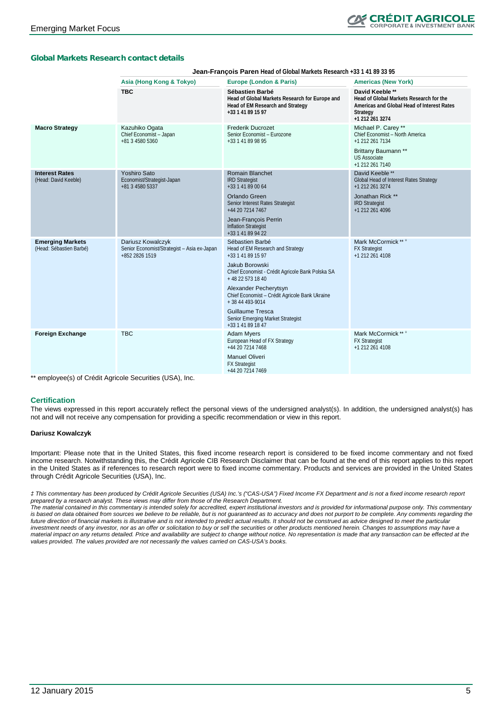### Global Markets Research contact details

|                                                    | <b>Jean-François Paren</b> Head of Global Markets Research +33 1 41 89 33 95       |                                                                                                                                                                                                                                                                                                                                                        |                                                                                                                                                         |  |  |  |  |  |  |
|----------------------------------------------------|------------------------------------------------------------------------------------|--------------------------------------------------------------------------------------------------------------------------------------------------------------------------------------------------------------------------------------------------------------------------------------------------------------------------------------------------------|---------------------------------------------------------------------------------------------------------------------------------------------------------|--|--|--|--|--|--|
|                                                    | Asia (Hong Kong & Tokyo)                                                           | <b>Europe (London &amp; Paris)</b>                                                                                                                                                                                                                                                                                                                     | <b>Americas (New York)</b>                                                                                                                              |  |  |  |  |  |  |
|                                                    | <b>TBC</b>                                                                         | Sébastien Barbé<br>Head of Global Markets Research for Europe and<br>Head of EM Research and Strategy<br>+33 1 41 89 15 97                                                                                                                                                                                                                             | David Keeble **<br>Head of Global Markets Research for the<br>Americas and Global Head of Interest Rates<br>Strategy<br>+1 212 261 3274                 |  |  |  |  |  |  |
| <b>Macro Strategy</b>                              | Kazuhiko Ogata<br>Chief Economist - Japan<br>+81 3 4580 5360                       | <b>Frederik Ducrozet</b><br>Senior Economist - Eurozone<br>+33 1 41 89 98 95                                                                                                                                                                                                                                                                           | Michael P. Carey **<br>Chief Economist - North America<br>+1 212 261 7134<br>Brittany Baumann **<br><b>US Associate</b><br>+1 212 261 7140              |  |  |  |  |  |  |
| <b>Interest Rates</b><br>(Head: David Keeble)      | <b>Yoshiro Sato</b><br>Economist/Strategist-Japan<br>+81 3 4580 5337               | <b>Romain Blanchet</b><br><b>IRD Strategist</b><br>+33 1 41 89 00 64<br>Orlando Green<br>Senior Interest Rates Strategist<br>+44 20 7214 7467<br>Jean-François Perrin<br><b>Inflation Strategist</b><br>+33 1 41 89 94 22                                                                                                                              | David Keeble <sup>**</sup><br>Global Head of Interest Rates Strategy<br>+1 212 261 3274<br>Jonathan Rick **<br><b>IRD Strategist</b><br>+1 212 261 4096 |  |  |  |  |  |  |
| <b>Emerging Markets</b><br>(Head: Sébastien Barbé) | Dariusz Kowalczyk<br>Senior Economist/Strategist - Asia ex-Japan<br>+852 2826 1519 | Sébastien Barbé<br>Head of EM Research and Strategy<br>+33 1 41 89 15 97<br>Jakub Borowski<br>Chief Economist - Crédit Agricole Bank Polska SA<br>+48 22 573 18 40<br>Alexander Pecherytsyn<br>Chief Economist - Crédit Agricole Bank Ukraine<br>+ 38 44 493-9014<br><b>Guillaume Tresca</b><br>Senior Emerging Market Strategist<br>+33 1 41 89 18 47 | Mark McCormick ***<br><b>FX Strategist</b><br>+1 212 261 4108                                                                                           |  |  |  |  |  |  |
| <b>Foreign Exchange</b>                            | <b>TBC</b>                                                                         | <b>Adam Myers</b><br>European Head of FX Strategy<br>+44 20 7214 7468<br><b>Manuel Oliveri</b><br><b>FX Strategist</b><br>+44 20 7214 7469                                                                                                                                                                                                             | Mark McCormick ** #<br><b>FX Strategist</b><br>+1 212 261 4108                                                                                          |  |  |  |  |  |  |

\*\* employee(s) of Crédit Agricole Securities (USA), Inc.

#### **Certification**

The views expressed in this report accurately reflect the personal views of the undersigned analyst(s). In addition, the undersigned analyst(s) has not and will not receive any compensation for providing a specific recommendation or view in this report.

#### **Dariusz Kowalczyk**

Important: Please note that in the United States, this fixed income research report is considered to be fixed income commentary and not fixed income research. Notwithstanding this, the Crédit Agricole CIB Research Disclaimer that can be found at the end of this report applies to this report in the United States as if references to research report were to fixed income commentary. Products and services are provided in the United States through Crédit Agricole Securities (USA), Inc.

*‡ This commentary has been produced by Crédit Agricole Securities (USA) Inc.'s ("CAS-USA") Fixed Income FX Department and is not a fixed income research report prepared by a research analyst. These views may differ from those of the Research Department.* 

*The material contained in this commentary is intended solely for accredited, expert institutional investors and is provided for informational purpose only. This commentary is based on data obtained from sources we believe to be reliable, but is not guaranteed as to accuracy and does not purport to be complete. Any comments regarding the future direction of financial markets is illustrative and is not intended to predict actual results. It should not be construed as advice designed to meet the particular investment needs of any investor, nor as an offer or solicitation to buy or sell the securities or other products mentioned herein. Changes to assumptions may have a material impact on any returns detailed. Price and availability are subject to change without notice. No representation is made that any transaction can be effected at the values provided. The values provided are not necessarily the values carried on CAS-USA's books.*